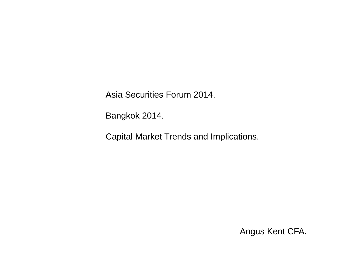Asia Securities Forum 2014.

Bangkok 2014.

Capital Market Trends and Implications.

Angus Kent CFA.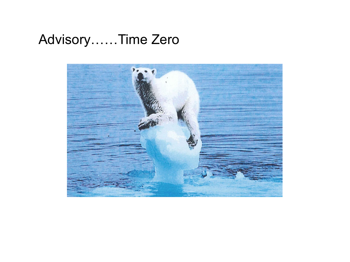## Advisory......Time Zero

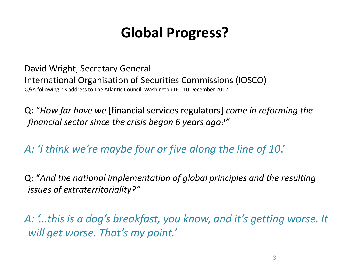## **Global Progress?**

David Wright, Secretary General International Organisation of Securities Commissions (IOSCO) Q&A following his address to The Atlantic Council, Washington DC, 10 December 2012

Q: "*How far have we* [financial services regulators] *come in reforming the financial sector since the crisis began 6 years ago?"*

*A: 'I think we're maybe four or five along the line of 10*.'

Q: "*And the national implementation of global principles and the resulting issues of extraterritoriality?"*

*A: '...this is a dog's breakfast, you know, and it's getting worse. It will get worse. That's my point.'*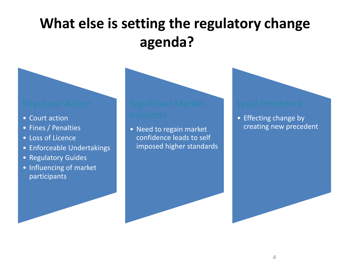# **What else is setting the regulatory change agenda?**

- Court action
- Fines / Penalties
- Loss of Licence
- Enforceable Undertakings
- Regulatory Guides
- Influencing of market participants

• Need to regain market confidence leads to self imposed higher standards

• Effecting change by creating new precedent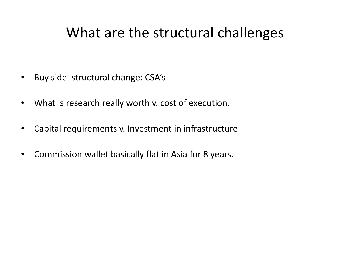### What are the structural challenges

- Buy side structural change: CSA's
- What is research really worth v. cost of execution.
- Capital requirements v. Investment in infrastructure
- Commission wallet basically flat in Asia for 8 years.